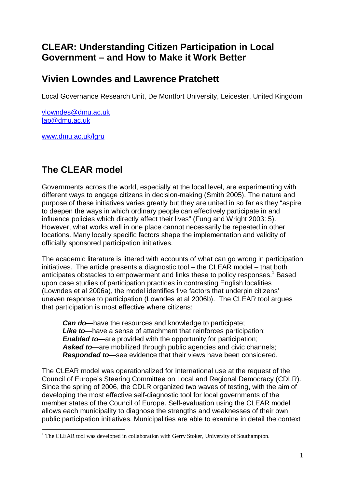## **CLEAR: Understanding Citizen Participation in Local Government – and How to Make it Work Better**

## **Vivien Lowndes and Lawrence Pratchett**

Local Governance Research Unit, De Montfort University, Leicester, United Kingdom

[vlowndes@dmu.ac.uk](mailto:vlowndes@dmu.ac.uk) [lap@dmu.ac.uk](mailto:lap@dmu.ac.uk)

[www.dmu.ac.uk/lgru](http://www.dmu.ac.uk/lgru)

 $\overline{a}$ 

## **The CLEAR model**

Governments across the world, especially at the local level, are experimenting with different ways to engage citizens in decision-making (Smith 2005). The nature and purpose of these initiatives varies greatly but they are united in so far as they "aspire to deepen the ways in which ordinary people can effectively participate in and influence policies which directly affect their lives" (Fung and Wright 2003: 5). However, what works well in one place cannot necessarily be repeated in other locations. Many locally specific factors shape the implementation and validity of officially sponsored participation initiatives.

The academic literature is littered with accounts of what can go wrong in participation initiatives. The article presents a diagnostic tool – the CLEAR model – that both anticipates obstacles to empowerment and links these to policy responses.<sup>1</sup> Based upon case studies of participation practices in contrasting English localities (Lowndes et al 2006a), the model identifies five factors that underpin citizens' uneven response to participation (Lowndes et al 2006b). The CLEAR tool argues that participation is most effective where citizens:

*Can do*—have the resources and knowledge to participate; *Like to*—have a sense of attachment that reinforces participation; *Enabled to*—are provided with the opportunity for participation; *Asked to*—are mobilized through public agencies and civic channels; *Responded to*—see evidence that their views have been considered.

The CLEAR model was operationalized for international use at the request of the Council of Europe's Steering Committee on Local and Regional Democracy (CDLR). Since the spring of 2006, the CDLR organized two waves of testing, with the aim of developing the most effective self-diagnostic tool for local governments of the member states of the Council of Europe. Self-evaluation using the CLEAR model allows each municipality to diagnose the strengths and weaknesses of their own public participation initiatives. Municipalities are able to examine in detail the context

 $<sup>1</sup>$  The CLEAR tool was developed in collaboration with Gerry Stoker, University of Southampton.</sup>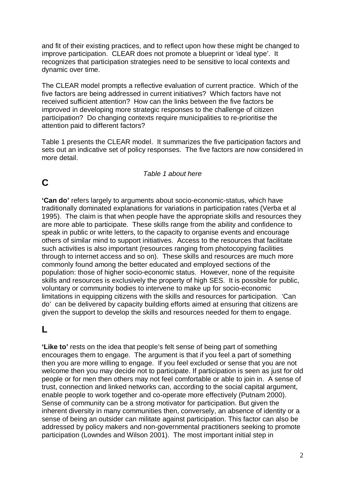and fit of their existing practices, and to reflect upon how these might be changed to improve participation. CLEAR does not promote a blueprint or 'ideal type'. It recognizes that participation strategies need to be sensitive to local contexts and dynamic over time.

The CLEAR model prompts a reflective evaluation of current practice. Which of the five factors are being addressed in current initiatives? Which factors have not received sufficient attention? How can the links between the five factors be improved in developing more strategic responses to the challenge of citizen participation? Do changing contexts require municipalities to re-prioritise the attention paid to different factors?

Table 1 presents the CLEAR model. It summarizes the five participation factors and sets out an indicative set of policy responses. The five factors are now considered in more detail.

#### *Table 1 about here*

## **C**

**'Can do'** refers largely to arguments about socio-economic-status, which have traditionally dominated explanations for variations in participation rates (Verba et al 1995). The claim is that when people have the appropriate skills and resources they are more able to participate. These skills range from the ability and confidence to speak in public or write letters, to the capacity to organise events and encourage others of similar mind to support initiatives. Access to the resources that facilitate such activities is also important (resources ranging from photocopying facilities through to internet access and so on). These skills and resources are much more commonly found among the better educated and employed sections of the population: those of higher socio-economic status. However, none of the requisite skills and resources is exclusively the property of high SES. It is possible for public, voluntary or community bodies to intervene to make up for socio-economic limitations in equipping citizens with the skills and resources for participation. 'Can do' can be delivered by capacity building efforts aimed at ensuring that citizens are given the support to develop the skills and resources needed for them to engage.

### **L**

**'Like to'** rests on the idea that people's felt sense of being part of something encourages them to engage. The argument is that if you feel a part of something then you are more willing to engage. If you feel excluded or sense that you are not welcome then you may decide not to participate. If participation is seen as just for old people or for men then others may not feel comfortable or able to join in. A sense of trust, connection and linked networks can, according to the social capital argument, enable people to work together and co-operate more effectively (Putnam 2000). Sense of community can be a strong motivator for participation. But given the inherent diversity in many communities then, conversely, an absence of identity or a sense of being an outsider can militate against participation. This factor can also be addressed by policy makers and non-governmental practitioners seeking to promote participation (Lowndes and Wilson 2001). The most important initial step in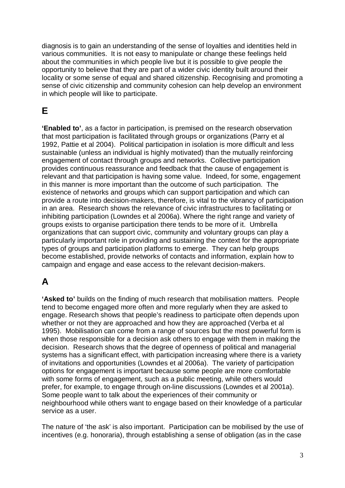diagnosis is to gain an understanding of the sense of loyalties and identities held in various communities. It is not easy to manipulate or change these feelings held about the communities in which people live but it is possible to give people the opportunity to believe that they are part of a wider civic identity built around their locality or some sense of equal and shared citizenship. Recognising and promoting a sense of civic citizenship and community cohesion can help develop an environment in which people will like to participate.

# **E**

**'Enabled to'**, as a factor in participation, is premised on the research observation that most participation is facilitated through groups or organizations (Parry et al 1992, Pattie et al 2004). Political participation in isolation is more difficult and less sustainable (unless an individual is highly motivated) than the mutually reinforcing engagement of contact through groups and networks. Collective participation provides continuous reassurance and feedback that the cause of engagement is relevant and that participation is having some value. Indeed, for some, engagement in this manner is more important than the outcome of such participation. The existence of networks and groups which can support participation and which can provide a route into decision-makers, therefore, is vital to the vibrancy of participation in an area. Research shows the relevance of civic infrastructures to facilitating or inhibiting participation (Lowndes et al 2006a). Where the right range and variety of groups exists to organise participation there tends to be more of it. Umbrella organizations that can support civic, community and voluntary groups can play a particularly important role in providing and sustaining the context for the appropriate types of groups and participation platforms to emerge. They can help groups become established, provide networks of contacts and information, explain how to campaign and engage and ease access to the relevant decision-makers.

## **A**

**'Asked to'** builds on the finding of much research that mobilisation matters. People tend to become engaged more often and more regularly when they are asked to engage. Research shows that people's readiness to participate often depends upon whether or not they are approached and how they are approached (Verba et al 1995). Mobilisation can come from a range of sources but the most powerful form is when those responsible for a decision ask others to engage with them in making the decision. Research shows that the degree of openness of political and managerial systems has a significant effect, with participation increasing where there is a variety of invitations and opportunities (Lowndes et al 2006a). The variety of participation options for engagement is important because some people are more comfortable with some forms of engagement, such as a public meeting, while others would prefer, for example, to engage through on-line discussions (Lowndes et al 2001a). Some people want to talk about the experiences of their community or neighbourhood while others want to engage based on their knowledge of a particular service as a user.

The nature of 'the ask' is also important. Participation can be mobilised by the use of incentives (e.g. honoraria), through establishing a sense of obligation (as in the case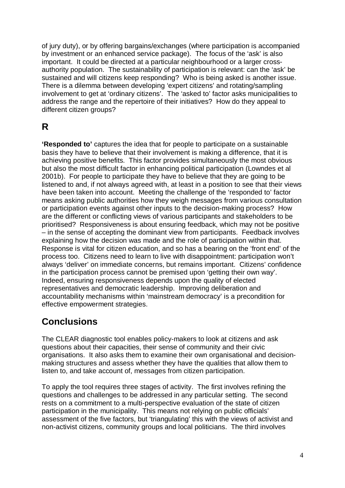of jury duty), or by offering bargains/exchanges (where participation is accompanied by investment or an enhanced service package). The focus of the 'ask' is also important. It could be directed at a particular neighbourhood or a larger crossauthority population. The sustainability of participation is relevant: can the 'ask' be sustained and will citizens keep responding? Who is being asked is another issue. There is a dilemma between developing 'expert citizens' and rotating/sampling involvement to get at 'ordinary citizens'. The 'asked to' factor asks municipalities to address the range and the repertoire of their initiatives? How do they appeal to different citizen groups?

## **R**

**'Responded to'** captures the idea that for people to participate on a sustainable basis they have to believe that their involvement is making a difference, that it is achieving positive benefits. This factor provides simultaneously the most obvious but also the most difficult factor in enhancing political participation (Lowndes et al 2001b). For people to participate they have to believe that they are going to be listened to and, if not always agreed with, at least in a position to see that their views have been taken into account. Meeting the challenge of the 'responded to' factor means asking public authorities how they weigh messages from various consultation or participation events against other inputs to the decision-making process? How are the different or conflicting views of various participants and stakeholders to be prioritised? Responsiveness is about ensuring feedback, which may not be positive – in the sense of accepting the dominant view from participants. Feedback involves explaining how the decision was made and the role of participation within that. Response is vital for citizen education, and so has a bearing on the 'front end' of the process too. Citizens need to learn to live with disappointment: participation won't always 'deliver' on immediate concerns, but remains important. Citizens' confidence in the participation process cannot be premised upon 'getting their own way'. Indeed, ensuring responsiveness depends upon the quality of elected representatives and democratic leadership. Improving deliberation and accountability mechanisms within 'mainstream democracy' is a precondition for effective empowerment strategies.

## **Conclusions**

The CLEAR diagnostic tool enables policy-makers to look at citizens and ask questions about their capacities, their sense of community and their civic organisations. It also asks them to examine their own organisational and decisionmaking structures and assess whether they have the qualities that allow them to listen to, and take account of, messages from citizen participation.

To apply the tool requires three stages of activity. The first involves refining the questions and challenges to be addressed in any particular setting. The second rests on a commitment to a multi-perspective evaluation of the state of citizen participation in the municipality. This means not relying on public officials' assessment of the five factors, but 'triangulating' this with the views of activist and non-activist citizens, community groups and local politicians. The third involves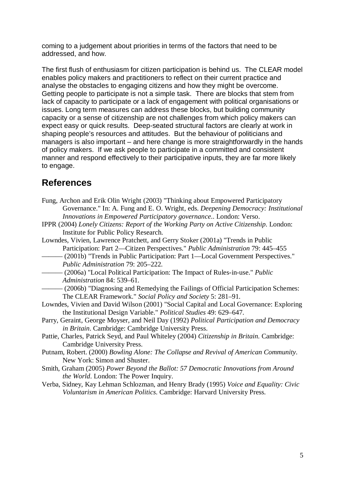coming to a judgement about priorities in terms of the factors that need to be addressed, and how.

The first flush of enthusiasm for citizen participation is behind us. The CLEAR model enables policy makers and practitioners to reflect on their current practice and analyse the obstacles to engaging citizens and how they might be overcome. Getting people to participate is not a simple task. There are blocks that stem from lack of capacity to participate or a lack of engagement with political organisations or issues. Long term measures can address these blocks, but building community capacity or a sense of citizenship are not challenges from which policy makers can expect easy or quick results. Deep-seated structural factors are clearly at work in shaping people's resources and attitudes. But the behaviour of politicians and managers is also important – and here change is more straightforwardly in the hands of policy makers. If we ask people to participate in a committed and consistent manner and respond effectively to their participative inputs, they are far more likely to engage.

## **References**

- Fung, Archon and Erik Olin Wright (2003) "Thinking about Empowered Participatory Governance." In: A. Fung and E. O. Wright*,* eds. *Deepening Democracy: Institutional Innovations in Empowered Participatory governance*.. London: Verso.
- IPPR (2004) *Lonely Citizens: Report of the Working Party on Active Citizenship*. London: Institute for Public Policy Research.
- Lowndes, Vivien, Lawrence Pratchett, and Gerry Stoker (2001a) "Trends in Public Participation: Part 2—Citizen Perspectives." *Public Administration* 79: 445–455
	- ——— (2001b) "Trends in Public Participation: Part 1—Local Government Perspectives." *Public Administration* 79: 205–222.
		- ——— (2006a) "Local Political Participation: The Impact of Rules-in-use." *Public Administration* 84: 539–61.
	- ——— (2006b) "Diagnosing and Remedying the Failings of Official Participation Schemes: The CLEAR Framework." *Social Policy and Society* 5: 281–91.
- Lowndes, Vivien and David Wilson (2001) "Social Capital and Local Governance: Exploring the Institutional Design Variable." *Political Studies* 49: 629–647.
- Parry, Geraint, George Moyser, and Neil Day (1992) *Political Participation and Democracy in Britain*. Cambridge: Cambridge University Press.
- Pattie, Charles, Patrick Seyd, and Paul Whiteley (2004) *Citizenship in Britain*. Cambridge: Cambridge University Press.
- Putnam, Robert. (2000) *Bowling Alone: The Collapse and Revival of American Community*. New York: Simon and Shuster.
- Smith, Graham (2005) *Power Beyond the Ballot: 57 Democratic Innovations from Around the World*. London: The Power Inquiry.
- Verba, Sidney, Kay Lehman Schlozman, and Henry Brady (1995) *Voice and Equality: Civic Voluntarism in American Politics*. Cambridge: Harvard University Press.